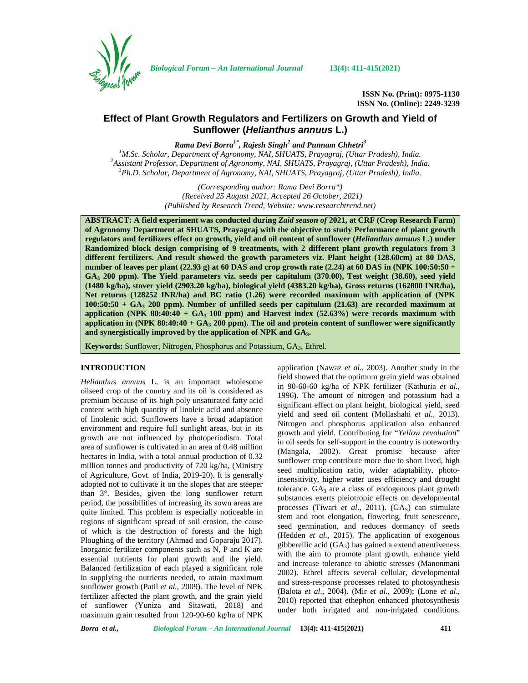

*Biological Forum – An International Journal* **13(4): 411-415(2021)**

**ISSN No. (Print): 0975-1130 ISSN No. (Online): 2249-3239**

# **Effect of Plant Growth Regulators and Fertilizers on Growth and Yield of Sunflower (***Helianthus annuus* **L.)**

*Rama Devi Borra1\* , Rajesh Singh<sup>2</sup> and Punnam Chhetri<sup>3</sup>*

<sup>1</sup>M.Sc. Scholar, Department of Agronomy, NAI, SHUATS, Prayagraj, (Uttar Pradesh), India.<br><sup>2</sup>Assistant Professor, Department of Agronomy, NAI, SHUATS, Prayagraj, (Uttar Pradesh), India.<br><sup>3</sup>Ph.D. Scholar, Department of Agro

*(Corresponding author: Rama Devi Borra\*) (Received 25 August 2021, Accepted 26 October, 2021) (Published by Research Trend, Website: [www.researchtrend.net\)](www.researchtrend.net)*

**ABSTRACT: A field experiment was conducted during** *Zaid season of* **2021, at CRF (Crop Research Farm) of Agronomy Department at SHUATS, Prayagraj with the objective to study Performance of plant growth regulators and fertilizers effect on growth, yield and oil content of sunflower (***Helianthus annuus* **L.) under Randomized block design comprising of 9 treatments, with 2 different plant growth regulators from 3 different fertilizers. And result showed the growth parameters viz. Plant height (128.60cm) at 80 DAS, number of leaves per plant (22.93 g) at 60 DAS and crop growth rate (2.24) at 60 DAS in (NPK 100:50:50 + GA<sup>3</sup> 200 ppm). The Yield parameters viz. seeds per capitulum (370.00), Test weight (38.60), seed yield (1480 kg/ha), stover yield (2903.20 kg/ha), biological yield (4383.20 kg/ha), Gross returns (162800 INR/ha), Net returns (128252 INR/ha) and BC ratio (1.26) were recorded maximum with application of (NPK 100:50:50 + GA<sup>3</sup> 200 ppm). Number of unfilled seeds per capitulum (21.63) are recorded maximum at application (NPK 80:40:40 + GA<sup>3</sup> 100 ppm) and Harvest index (52.63%) were records maximum with application in (NPK 80:40:40 + GA<sup>3</sup> 200 ppm). The oil and protein content of sunflower were significantly and synergistically improved by the application of NPK and GA3.**

**Keywords:** Sunflower, Nitrogen, Phosphorus and Potassium, GA3, Ethrel.

### **INTRODUCTION**

*Helianthus annuus* L. is an important wholesome oilseed crop of the country and its oil is considered as premium because of its high poly unsaturated fatty acid content with high quantity of linoleic acid and absence of linolenic acid. Sunflowers have a broad adaptation environment and require full sunlight areas, but in its growth are not influenced by photoperiodism. Total area of sunflower is cultivated in an area of 0.48 million hectares in India, with a total annual production of 0.32 million tonnes and productivity of 720 kg/ha, (Ministry of Agriculture, Govt. of India, 2019-20). It is generally adopted not to cultivate it on the slopes that are steeper than 3°. Besides, given the long sunflower return period, the possibilities of increasing its sown areas are quite limited. This problem is especially noticeable in regions of significant spread of soil erosion, the cause of which is the destruction of forests and the high Ploughing of the territory (Ahmad and Goparaju 2017). Inorganic fertilizer components such as N, P and K are essential nutrients for plant growth and the yield. Balanced fertilization of each played a significant role in supplying the nutrients needed, to attain maximum sunflower growth (Patil *et al.,* 2009). The level of NPK fertilizer affected the plant growth, and the grain yield of sunflower (Yuniza and Sitawati, 2018) and maximum grain resulted from 120-90-60 kg/ha of NPK

application (Nawaz *et al.,* 2003). Another study in the field showed that the optimum grain yield was obtained in 90-60-60 kg/ha of NPK fertilizer (Kathuria *et al.,* 1996**)**. The amount of nitrogen and potassium had a significant effect on plant height, biological yield, seed yield and seed oil content (Mollashahi *et al.,* 2013). Nitrogen and phosphorus application also enhanced growth and yield. Contributing for "*Yellow revolution*" in oil seeds for self-support in the country is noteworthy (Mangala, 2002). Great promise because after sunflower crop contribute more due to short lived, high seed multiplication ratio, wider adaptability, photoinsensitivity, higher water uses efficiency and drought tolerance.  $GA_3$  are a class of endogenous plant growth substances exerts pleiotropic effects on developmental processes (Tiwari *et al.*, 2011). (GA<sub>S</sub>) can stimulate stem and root elongation, flowering, fruit senescence, seed germination, and reduces dormancy of seeds (Hedden *et al.,* 2015). The application of exogenous gibberellic acid  $(GA_3)$  has gained a extend attentiveness with the aim to promote plant growth, enhance yield and increase tolerance to abiotic stresses (Manonmani 2002). Ethrel affects several cellular, developmental and stress-response processes related to photosynthesis (Balota *et al*., 2004). (Mir *et al*., 2009); (Lone *et al*., 2010) reported that ethephon enhanced photosynthesis under both irrigated and non-irrigated conditions.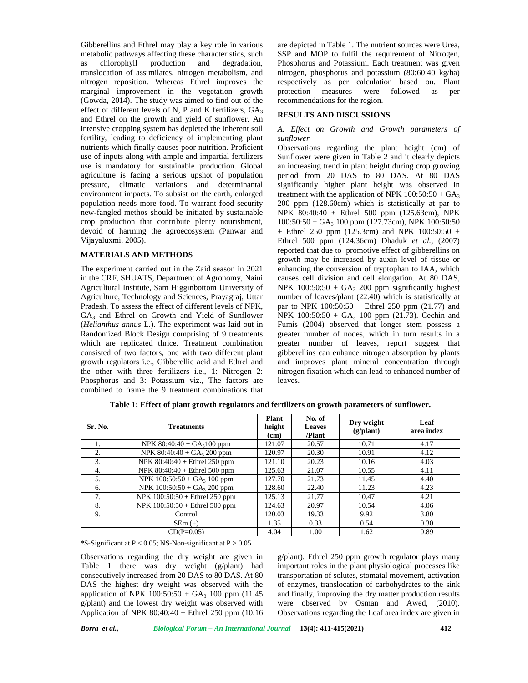Gibberellins and Ethrel may play a key role in various metabolic pathways affecting these characteristics, such as chlorophyll production and degradation, translocation of assimilates, nitrogen metabolism, and nitrogen reposition. Whereas Ethrel improves the marginal improvement in the vegetation growth (Gowda, 2014). The study was aimed to find out of the effect of different levels of N, P and K fertilizers,  $GA<sub>3</sub>$ and Ethrel on the growth and yield of sunflower. An intensive cropping system has depleted the inherent soil fertility, leading to deficiency of implementing plant nutrients which finally causes poor nutrition. Proficient use of inputs along with ample and impartial fertilizers use is mandatory for sustainable production. Global agriculture is facing a serious upshot of population pressure, climatic variations and determinantal environment impacts. To subsist on the earth, enlarged population needs more food. To warrant food security new-fangled methos should be initiated by sustainable crop production that contribute plenty nourishment, devoid of harming the agroecosystem (Panwar and Vijayaluxmi, 2005).

#### **MATERIALS AND METHODS**

The experiment carried out in the Zaid season in 2021 in the CRF, SHUATS, Department of Agronomy, Naini Agricultural Institute, Sam Higginbottom University of Agriculture, Technology and Sciences, Prayagraj, Uttar Pradesh. To assess the effect of different levels of NPK,  $GA<sub>3</sub>$  and Ethrel on Growth and Yield of Sunflower (*Helianthus annus* L.). The experiment was laid out in Randomized Block Design comprising of 9 treatments which are replicated thrice. Treatment combination consisted of two factors, one with two different plant growth regulators i.e., Gibberellic acid and Ethrel and the other with three fertilizers i.e., 1: Nitrogen 2: Phosphorus and 3: Potassium viz., The factors are combined to frame the 9 treatment combinations that

are depicted in Table 1. The nutrient sources were Urea, SSP and MOP to fulfil the requirement of Nitrogen, Phosphorus and Potassium. Each treatment was given nitrogen, phosphorus and potassium (80:60:40 kg/ha) respectively as per calculation based on. Plant measures were followed as per recommendations for the region.

#### **RESULTS AND DISCUSSIONS**

### *A. Effect on Growth and Growth parameters of sunflower*

Observations regarding the plant height (cm) of Sunflower were given in Table 2 and it clearly depicts an increasing trend in plant height during crop growing period from 20 DAS to 80 DAS. At 80 DAS significantly higher plant height was observed in treatment with the application of NPK  $100:50:50 + GA<sub>3</sub>$ 200 ppm (128.60cm) which is statistically at par to NPK 80:40:40 + Ethrel 500 ppm (125.63cm), NPK  $100:50:50 + GA<sub>3</sub> 100 ppm (127.73cm)$ , NPK  $100:50:50$ + Ethrel 250 ppm (125.3cm) and NPK 100:50:50 + Ethrel 500 ppm (124.36cm) Dhaduk *et al.,* (2007) reported that due to promotive effect of gibberellins on growth may be increased by auxin level of tissue or enhancing the conversion of tryptophan to IAA, which causes cell division and cell elongation. At 80 DAS, NPK 100:50:50 +  $GA_3$  200 ppm significantly highest number of leaves*/*plant (22.40) which is statistically at par to NPK  $100:50:50 +$  Ethrel 250 ppm (21.77) and NPK  $100:50:50 + GA<sub>3</sub> 100 ppm (21.73)$ . Cechin and Fumis (2004) observed that longer stem possess a greater number of nodes, which in turn results in a greater number of leaves, report suggest that gibberellins can enhance nitrogen absorption by plants and improves plant mineral concentration through nitrogen fixation which can lead to enhanced number of leaves.

| Sr. No. | <b>Treatments</b>                | <b>Plant</b><br>height<br>(cm) | No. of<br><b>Leaves</b><br>/Plant | Dry weight<br>$(g/\text{plant})$ | Leaf<br>area index |
|---------|----------------------------------|--------------------------------|-----------------------------------|----------------------------------|--------------------|
|         | NPK $80:40:40 + GA3100 ppm$      | 121.07                         | 20.57                             | 10.71                            | 4.17               |
| 2.      | NPK $80:40:40 + GA_3 200$ ppm    | 120.97                         | 20.30                             | 10.91                            | 4.12               |
| 3.      | NPK $80:40:40 +$ Ethrel 250 ppm  | 121.10                         | 20.23                             | 10.16                            | 4.03               |
| 4.      | NPK $80:40:40 +$ Ethrel 500 ppm  | 125.63                         | 21.07                             | 10.55                            | 4.11               |
| 5.      | NPK $100:50:50 + GA_3 100 ppm$   | 127.70                         | 21.73                             | 11.45                            | 4.40               |
| 6.      | NPK $100:50:50 + GA_3 200$ ppm   | 128.60                         | 22.40                             | 11.23                            | 4.23               |
| 7.      | NPK $100:50:50 +$ Ethrel 250 ppm | 125.13                         | 21.77                             | 10.47                            | 4.21               |
| 8.      | NPK $100:50:50 +$ Ethrel 500 ppm | 124.63                         | 20.97                             | 10.54                            | 4.06               |
| 9.      | Control                          | 120.03                         | 19.33                             | 9.92                             | 3.80               |
|         | $SEm(\pm)$                       | 1.35                           | 0.33                              | 0.54                             | 0.30               |
|         | $CD(P=0.05)$                     | 4.04                           | 1.00                              | 1.62                             | 0.89               |

**Table 1: Effect of plant growth regulators and fertilizers on growth parameters of sunflower.**

\*S-Significant at  $P < 0.05$ ; NS-Non-significant at  $P > 0.05$ 

Observations regarding the dry weight are given in Table 1 there was dry weight (g/plant) had consecutively increased from 20 DAS to 80 DAS. At 80 DAS the highest dry weight was observed with the application of NPK  $100:50:50 + GA_3 100$  ppm (11.45) g/plant) and the lowest dry weight was observed with Application of NPK 80:40:40 + Ethrel 250 ppm (10.16

g/plant). Ethrel 250 ppm growth regulator plays many important roles in the plant physiological processes like transportation of solutes, stomatal movement, activation of enzymes, translocation of carbohydrates to the sink and finally, improving the dry matter production results were observed by Osman and Awed*,* (2010). Observations regarding the Leaf area index are given in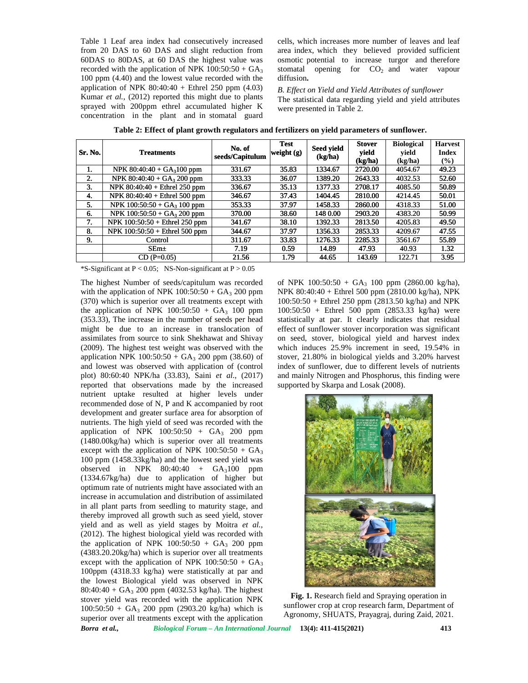Table 1 Leaf area index had consecutively increased from 20 DAS to 60 DAS and slight reduction from 60DAS to 80DAS, at 60 DAS the highest value was recorded with the application of NPK  $100:50:50 + GA<sub>3</sub>$ 100 ppm (4.40) and the lowest value recorded with the application of NPK  $80:40:40 +$  Ethrel 250 ppm (4.03) Kumar *et al.,* (2012) reported this might due to plants sprayed with 200ppm ethrel accumulated higher K concentration in the plant and in stomatal guard

cells, which increases more number of leaves and leaf area index, which they believed provided sufficient osmotic potential to increase turgor and therefore stomatal opening for  $CO<sub>2</sub>$  and water vapour diffusion**.** reduction from area index, which they believed provided sufficient<br>
ghest value was osmotic potential to increase turgor and therefore<br>
00:50:50 + GA<sub>3</sub> stomatal opening for  $CO_2$  and water vapour<br>
corded with the diffusi

*B. Effect on Yield and Yield Attributes of sunflower* The statistical data regarding yield and yield attributes were presented in Table 2.

| <b>Sr. No.</b> | <b>Treatments</b>                | No. of<br>seeds/Capitulum | <b>Test</b><br>weight $(g)$ | Seed yield<br>(kg/ha) | <b>Stover</b><br>yield<br>(kg/ha) | <b>Biological</b><br>vield<br>(kg/ha) | <b>Harvest</b><br><b>Index</b><br>(%) |
|----------------|----------------------------------|---------------------------|-----------------------------|-----------------------|-----------------------------------|---------------------------------------|---------------------------------------|
|                | NPK $80:40:40 + GA3100 ppm$      | 331.67                    | 35.83                       | 1334.67               | 2720.00                           | 4054.67                               | 49.23                                 |
| 2.             | NPK $80:40:40 + GA_3 200$ ppm    | 333.33                    | 36.07                       | 1389.20               | 2643.33                           | 4032.53                               | 52.60                                 |
| 3.             | NPK $80:40:40 +$ Ethrel 250 ppm  | 336.67                    | 35.13                       | 1377.33               | 2708.17                           | 4085.50                               | 50.89                                 |
| 4.             | NPK $80:40:40 +$ Ethrel 500 ppm  | 346.67                    | 37.43                       | 1404.45               | 2810.00                           | 4214.45                               | 50.01                                 |
| 5.             | NPK $100:50:50 + GA_3 100 ppm$   | 353.33                    | 37.97                       | 1458.33               | 2860.00                           | 4318.33                               | 51.00                                 |
| 6.             | NPK $100:50:50 + GA_3 200$ ppm   | 370.00                    | 38.60                       | 148 0.00              | 2903.20                           | 4383.20                               | 50.99                                 |
| 7.             | NPK $100:50:50 +$ Ethrel 250 ppm | 341.67                    | 38.10                       | 1392.33               | 2813.50                           | 4205.83                               | 49.50                                 |
| 8.             | NPK $100:50:50 +$ Ethrel 500 ppm | 344.67                    | 37.97                       | 1356.33               | 2853.33                           | 4209.67                               | 47.55                                 |
| 9.             | Control                          | 311.67                    | 33.83                       | 1276.33               | 2285.33                           | 3561.67                               | 55.89                                 |
|                | $SEm+$                           | 7.19                      | 0.59                        | 14.89                 | 47.93                             | 40.93                                 | 1.32                                  |
|                | $CD(P=0.05)$                     | 21.56                     | 1.79                        | 44.65                 | 143.69                            | 122.71                                | 3.95                                  |

Table 2: Effect of plant growth regulators and fertilizers on yield parameters of sunflower.

\*S-Significant at  $P < 0.05$ ; NS-Non-significant at  $P > 0.05$ 

*Borra et al., Biological Forum – An International Journal* **13(4): 411-415(2021) 413** The highest Number of seeds/capitulum was recorded with the application of NPK  $100:50:50 + GA<sub>3</sub> 200 ppm$ (370) which is superior over all treatments except with the application of NPK  $100:50:50 + GA<sub>3</sub> 100 ppm$ (353.33), The increase in the number of seeds per head might be due to an increase in translocation of assimilates from source to sink Shekhawat and Shivay (2009). The highest test weight was observed with the application NPK  $100:50:50 + GA_3 200$  ppm (38.60) of and lowest was observed with application of (control plot) 80:60:40 NPK/ha (33.83), Saini *et al*., (2017) reported that observations made by the increased nutrient uptake resulted at higher levels under recommended dose of N, P and K accompanied by root development and greater surface area for absorption of nutrients. The high yield of seed was recorded with the application of NPK  $100:50:50 + GA<sub>3</sub> 200 ppm$ (1480.00kg/ha) which is superior over all treatments except with the application of NPK  $100:50:50 + GA<sub>3</sub>$ 100 ppm (1458.33kg/ha) and the lowest seed yield was observed in NPK  $80:40:40 + GA_3100$  ppm (1334.67kg/ha) due to application of higher but optimum rate of nutrients might have associated with an increase in accumulation and distribution of assimilated in all plant parts from seedling to maturity stage, and thereby improved all growth such as seed yield, stover yield and as well as yield stages by Moitra *et al.,* (2012). The highest biological yield was recorded with the application of NPK  $100:50:50 + GA<sub>3</sub> 200 ppm$ (4383.20.20kg/ha) which is superior over all treatments except with the application of NPK  $100:50:50 + GA<sub>3</sub>$ 100ppm (4318.33 kg/ha) were statistically at par and the lowest Biological yield was observed in NPK  $80:40:40 + GA<sub>3</sub> 200 ppm (4032.53 kg/ha)$ . The highest stover yield was recorded with the application NPK  $100:50:50 + GA<sub>3</sub> 200 ppm (2903.20 kg/ha) which is$ superior over all treatments except with the application 60DAS to 80DAS, at 60 DAS the highest value was<br>
omothom of the application of NPK 100:560-50-6 GA<sub>5</sub> store<br>
100 ppm (4.40) and the lowest value recorded with the application of NPK 100:560-50 + GA<sub>5</sub><br>
CM2 application of N The highest Number of seeds/capitulum was record<br>with the application of NPK 100:50:50 + GA<sub>3</sub> 200 pp<br>(370) which is superior over all treatments except with<br>the application of NPK 100:50:50 + GA<sub>3</sub> 100 pp<br>(353.33), The i of N, P and K accompanied by root<br>eater surface area for absorption of<br>yield of seed was recorded with the<br>K  $100:50:50 + GA_3$  200 ppm<br>ch is superior over all treatments<br>blication of NPK  $100:50:50 + GA_3$ <br>g/ha) and the lowest Evento application of<br>
ients might have assoc<br>
ation and distribution com<br>
seedling to maturi<br>
I growth such as seed<br>
as yield stages by M<br>
biological yield was r dscapiularm was rescorded of NPK 100:50:50 G- GA, 100 ppm (2860.00 kg/ha), NPK<br>
dscapiular was reacted virtual 200 Application (2860.00 kg/ha), NPK<br>
2 all treatments except with 100:50:50 + Ethrel 500 ppm (2810.00 kg/ha), Research of1 20 DAS to the of 80:40:40 *al.,*reportedthis might in **2: growth** + + highest superior except ppmincrease per an increase The theNPK applicationmade increasedat blication of NPK 100:50:50 + GA<sub>3</sub> 200 ppm<br>80.00kg/ha) which is superior over all treatments<br>cept with the application of NPK 100:50:50 + GA<sub>3</sub><br>0 ppm (1458.33kg/ha) and the lowest seed yield was<br>served in NPK 80:40:40 + G

of NPK  $100:50:50 + GA<sub>3</sub> 100 ppm (2860.00 kg/ha)$ , NPK 80:40:40 + Ethrel 500 ppm (2810.00 kg/ha), NPK 100:50:50 + Ethrel 250 ppm (2813.50 kg/ha) and NPK 100:50:50 + Ethrel 500 ppm (2853.33 kg/ha) were statistically at par. It clearly indicates that residual effect of sunflower stover incorporation was significant on seed, stover, biological yield and harvest index which induces 25.9% increment in seed, 19.54% in stover, 21.80% in biological yields and 3.20% harvest index of sunflower, due to different levels of nutrients and mainly Nitrogen and Phosphorus, this finding were supported by Skarpa and Losak (2008).  $p$  + Ethrel 500 ppm (2853.33 kg/ha) were<br>ly at par. It clearly indicates that residual<br>sunflower stover incorporation was significant<br>stover, biological yield and harvest index<br>duces 25.9% increment in seed, 19.54% in<br>1.



**Fig. 1.** Research field and Spraying operation in sunflower crop at crop research farm, Department of Agronomy, SHUATS, Prayagraj, during Zaid, 2021.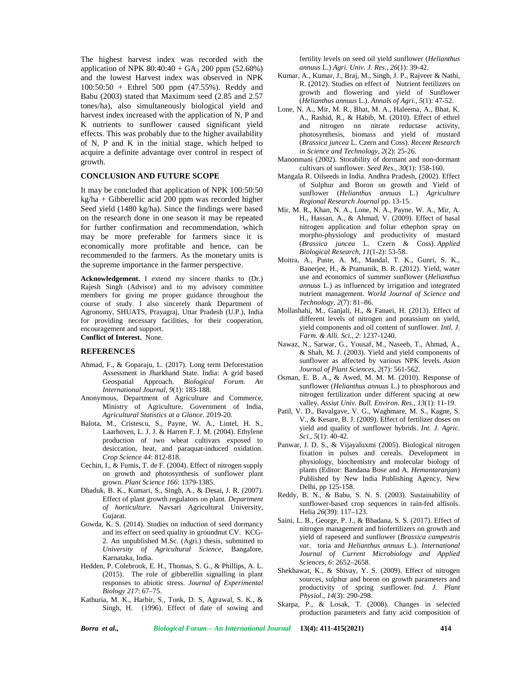The highest harvest index was recorded with the application of NPK  $80:40:40 + GA_3 200$  ppm (52.60%) and the lowest Harvest index was observed in NPK 100:50:50 + Ethrel 500 ppm (47.55%). Reddy and Babu (2003) stated that Maximum seed (2.85 and 2.57 tones/ha), also simultaneously biological yield and harvest index increased with the application of N, P and K nutrients to sunflower caused significant yield effects. This was probably due to the higher availability of N, P and K in the initial stage, which helped to acquire a definite advantage over control in respect of growth.

## **CONCLUSION AND FUTURE SCOPE**

It may be concluded that application of NPK 100:50:50 kg/ha + Gibberellic acid 200 ppm was recorded higher Seed yield (1480 kg/ha). Since the findings were based on the research done in one season it may be repeated for further confirmation and recommendation, which may be more preferable for farmers since it is economically more profitable and hence, can be recommended to the farmers. As the monetary units is the supreme importance in the farmer perspective.

**Acknowledgement.** I extend my sincere thanks to (Dr.) Rajesh Singh (Advisor) and to my advisory committee members for giving me proper guidance throughout the course of study. I also sincerely thank Department of Agronomy, SHUATS, Prayagraj, Uttar Pradesh (U.P.), India for providing necessary facilities, for their cooperation, encouragement and support. **Conflict of Interest.** None.

#### **REFERENCES**

- Ahmad, F., & Goparaju, L. (2017). Long term Deforestation Assessment in Jharkhand State. India: A grid based Geospatial Approach. *Biological Forum. An International Journal, 9*(1): 183-188.
- Anonymous, Department of Agriculture and Commerce, Ministry of Agriculture, Government of India, *Agricultural Statistics at a Glance.* 2019-20.
- Balota, M., Cristescu, S., Payne, W. A., Lintel, H. S., Laarhoven, L. J. J. & Harren F.J. M. (2004). Ethylene production of two wheat cultivars exposed to desiccation, heat, and paraquat-induced oxidation. *Crop Science 44*: 812-818.
- Cechin, I., & Fumis, T. de F. (2004). Effect of nitrogen supply on growth and photosynthesis of sunflower plant grown. *Plant Science 166*: 1379-1385.
- Dhaduk, B. K., Kumari, S., Singh, A., & Desai, J. R. (2007). Effect of plant growth regulators on plant. *Department of horticulture*. Navsari Agricultural University, Gujarat.
- Gowda, K. S. (2014). Studies on induction of seed dormancy and its effect on seed quality in groundnut CV. KCG- 2. An unpublished M.Sc. (Agri.) thesis, submitted to *University of Agricultural Science*, Bangalore, Karnataka, India.
- Hedden, P. Colebrook, E. H., Thomas, S. G., & Phillips, A. L. (2015). The role of gibberellin signalling in plant responses to abiotic stress. *Journal of Experimental Biology 217*: 67–75.
- Kathuria, M. K., Harbir, S., Tonk, D. S, Agrawal, S. K., & Singh, H. (1996). Effect of date of sowing and

fertility levels on seed oil yield sunflower (*Helianthus annuus* L.) *Agri. Univ. J. Res*., *26*(1): 39-42.

- Kumar, A., Kumar, J., Braj, M., Singh, J. P., Rajveer & Nathi, R. (2012). Studies on effect of Nutrient fertilizers on growth and flowering and yield of Sunflower (*Helianthus annuus* L.). *Annals of Agri., 5*(1): 47-52.
- Lone, N. A., Mir, M. R., Bhat, M. A., Haleema, A., Bhat, K. A., Rashid, R., & Habib, M. (2010). Effect of ethrel and nitrogen on nitrate reductase activity, photosynthesis, biomass and yield of mustard (*Brassica juncea* L. Czern and Coss). *Recent Research in Science and Technology*, *2*(2): 25-26.
- Manonmani (2002). Storability of dormant and non-dormant cultivars of sunflower. *Seed Res., 30*(1): 158-160.
- Mangala R. Oilseeds in India. Andhra Pradesh, (2002). Effect of Sulphur and Boron on growth and Yield of sunflower (*Helianthus annuus* L.) *Agriculture Regional Research Journal* pp. 13-15.
- Mir, M. R., Khan, N. A., Lone, N. A., Payne, W. A., Mir, A. H., Hassan, A., & Ahmad, V. (2009). Effect of basal nitrogen application and foliar ethephon spray on morpho-physiology and productivity of mustard (*Brassica juncea* L. Czern & Coss). *Applied Biological Research*, *11*(1-2): 53-58.
- Moitra, A., Puste, A. M., Mandal, T. K., Gunri, S. K., Banerjee, H., & Pramanik, B. R. (2012). Yield, water use and economics of summer sunflower (*Helianthus annuus* L.) as influenced by irrigation and integrated nutrient management. *World Journal of Science and Technology, 2*(7): 81–86.
- Mollashahi, M., Ganjali, H., & Fanaei, H. (2013). Effect of different levels of nitrogen and potassium on yield, yield components and oil content of sunflower. *Intl. J. Farm. & Alli. Sci.*, *2*: 1237-1240.
- Nawaz, N., Sarwar, G., Yousaf, M., Naseeb, T., Ahmad, A., & Shah, M. J. (2003). Yield and yield components of sunflower as affected by various NPK levels. *Asian Journal of Plant Sciences*, *2*(7): 561-562.
- Osman, E. B. A., & Awed, M. M. M. (2010). Response of sunflower (*Helianthus annuus* L.) to phosphorous and nitrogen fertilization under different spacing at new valley. *Assiut Univ. Bull. Environ. Res., 13*(1): 11-19.
- Patil, V. D., Bavalgave, V. G., Waghmare, M. S., Kagne, S. V., & Kesare, B. J. (2009). Effect of fertilizer doses on yield and quality of sunflower hybrids. *Int. J. Agric. Sci., 5*(1): 40-42.
- Panwar, J. D. S., & Vijayaluxmi (2005). Biological nitrogen fixation in pulses and cereals. Development in physiology, biochemistry and molecular biology of plants (Editor: Bandana Bose and A. *Hemantaranjan*) Published by New India Publishing Agency, New Delhi, pp 125-158.
- Reddy, B. N., & Babu, S. N. S. (2003). Sustainability of sunflower-based crop sequences in rain-fed alfisols. Helia *26*(39): 117–123.
- Saini, L. B., George, P. J., & Bhadana, S. S. (2017). Effect of nitrogen management and biofertilizers on growth and yield of rapeseed and sunflower (*Brassica campestris var.* toria and *Helianthus annuus* L.). *International Journal of Current Microbiology and Applied Sciences, 6*: 2652–2658.
- Shekhawat, K., & Shivay, Y. S. (2009). Effect of nitrogen sources, sulphur and boron on growth parameters and productivity of spring sunflower. *Ind. J. Plant Physiol.*, *14*(3): 290-298.
- Skarpa, P., & Losak, T. (2008). Changes in selected production parameters and fatty acid composition of

*Borra et al., Biological Forum – An International Journal* **13(4): 411-415(2021) 414**